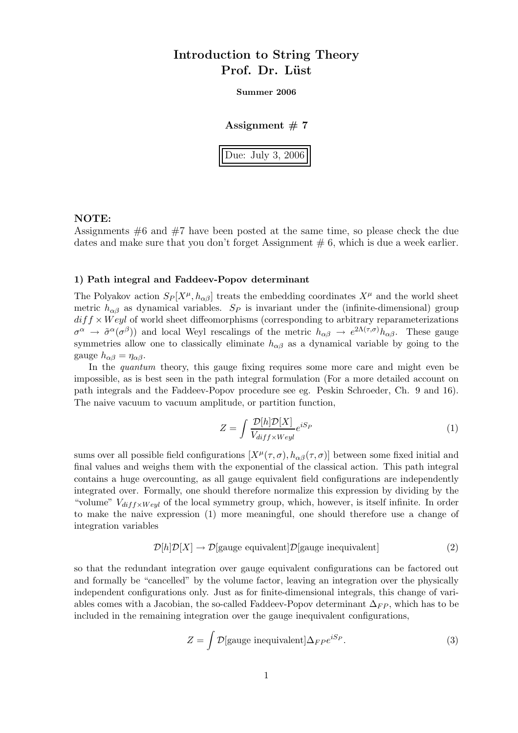# Introduction to String Theory Prof. Dr. Lüst

Summer 2006

Assignment  $# 7$ 

Due: July 3, 2006

## NOTE:

Assignments  $#6$  and  $#7$  have been posted at the same time, so please check the due dates and make sure that you don't forget Assignment  $# 6$ , which is due a week earlier.

## 1) Path integral and Faddeev-Popov determinant

The Polyakov action  $S_P[X^{\mu}, h_{\alpha\beta}]$  treats the embedding coordinates  $X^{\mu}$  and the world sheet metric  $h_{\alpha\beta}$  as dynamical variables. S<sub>P</sub> is invariant under the (infinite-dimensional) group  $diff \times Weyl$  of world sheet diffeomorphisms (corresponding to arbitrary reparameterizations  $\sigma^{\alpha} \to \tilde{\sigma}^{\alpha}(\sigma^{\beta})$  and local Weyl rescalings of the metric  $h_{\alpha\beta} \to e^{2\Lambda(\tau,\sigma)}h_{\alpha\beta}$ . These gauge symmetries allow one to classically eliminate  $h_{\alpha\beta}$  as a dynamical variable by going to the gauge  $h_{\alpha\beta} = \eta_{\alpha\beta}$ .

In the quantum theory, this gauge fixing requires some more care and might even be impossible, as is best seen in the path integral formulation (For a more detailed account on path integrals and the Faddeev-Popov procedure see eg. Peskin Schroeder, Ch. 9 and 16). The naive vacuum to vacuum amplitude, or partition function,

$$
Z = \int \frac{\mathcal{D}[h]\mathcal{D}[X]}{V_{diff \times Weyl}} e^{iS_P} \tag{1}
$$

sums over all possible field configurations  $[X^{\mu}(\tau,\sigma),h_{\alpha\beta}(\tau,\sigma)]$  between some fixed initial and final values and weighs them with the exponential of the classical action. This path integral contains a huge overcounting, as all gauge equivalent field configurations are independently integrated over. Formally, one should therefore normalize this expression by dividing by the "volume"  $V_{diff \times Weyl}$  of the local symmetry group, which, however, is itself infinite. In order to make the naive expression (1) more meaningful, one should therefore use a change of integration variables

$$
\mathcal{D}[h]\mathcal{D}[X] \to \mathcal{D}[\text{gauge equivalent}]\mathcal{D}[\text{gauge inequivalent}]
$$
 (2)

so that the redundant integration over gauge equivalent configurations can be factored out and formally be "cancelled" by the volume factor, leaving an integration over the physically independent configurations only. Just as for finite-dimensional integrals, this change of variables comes with a Jacobian, the so-called Faddeev-Popov determinant  $\Delta_{FP}$ , which has to be included in the remaining integration over the gauge inequivalent configurations,

$$
Z = \int \mathcal{D}[\text{gauge inequivalent}] \Delta_F e^{iS_P}.
$$
 (3)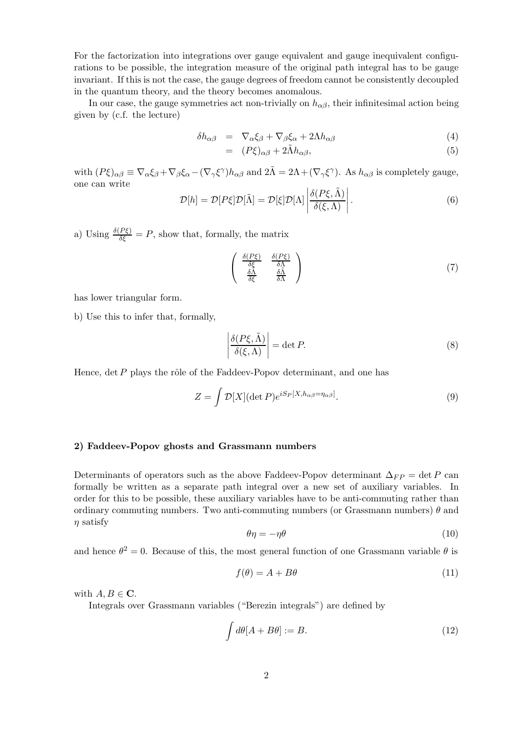For the factorization into integrations over gauge equivalent and gauge inequivalent configurations to be possible, the integration measure of the original path integral has to be gauge invariant. If this is not the case, the gauge degrees of freedom cannot be consistently decoupled in the quantum theory, and the theory becomes anomalous.

In our case, the gauge symmetries act non-trivially on  $h_{\alpha\beta}$ , their infinitesimal action being given by (c.f. the lecture)

$$
\delta h_{\alpha\beta} = \nabla_{\alpha}\xi_{\beta} + \nabla_{\beta}\xi_{\alpha} + 2\Lambda h_{\alpha\beta} \tag{4}
$$

$$
= (P\xi)_{\alpha\beta} + 2\tilde{\Lambda}h_{\alpha\beta}, \tag{5}
$$

with  $(P\xi)_{\alpha\beta} \equiv \nabla_{\alpha}\xi_{\beta} + \nabla_{\beta}\xi_{\alpha} - (\nabla_{\gamma}\xi^{\gamma})h_{\alpha\beta}$  and  $2\tilde{\Lambda} = 2\Lambda + (\nabla_{\gamma}\xi^{\gamma})$ . As  $h_{\alpha\beta}$  is completely gauge, one can write

$$
\mathcal{D}[h] = \mathcal{D}[P\xi]\mathcal{D}[\tilde{\Lambda}] = \mathcal{D}[\xi]\mathcal{D}[\Lambda] \left| \frac{\delta(P\xi, \tilde{\Lambda})}{\delta(\xi, \Lambda)} \right|.
$$
\n(6)

a) Using  $\frac{\delta(P\xi)}{\delta\xi} = P$ , show that, formally, the matrix

$$
\begin{pmatrix}\n\frac{\delta(P\xi)}{\delta\xi} & \frac{\delta(P\xi)}{\delta\Lambda} \\
\frac{\delta\Lambda}{\delta\xi} & \frac{\delta\bar{\Lambda}}{\delta\Lambda}\n\end{pmatrix} (7)
$$

has lower triangular form.

b) Use this to infer that, formally,

$$
\left| \frac{\delta(P\xi, \tilde{\Lambda})}{\delta(\xi, \Lambda)} \right| = \det P. \tag{8}
$$

Hence,  $\det P$  plays the rôle of the Faddeev-Popov determinant, and one has

$$
Z = \int \mathcal{D}[X](\det P)e^{iS_P[X, h_{\alpha\beta} = \eta_{\alpha\beta}]}.
$$
\n(9)

# 2) Faddeev-Popov ghosts and Grassmann numbers

Determinants of operators such as the above Faddeev-Popov determinant  $\Delta_{FP} = \det P$  can formally be written as a separate path integral over a new set of auxiliary variables. In order for this to be possible, these auxiliary variables have to be anti-commuting rather than ordinary commuting numbers. Two anti-commuting numbers (or Grassmann numbers)  $\theta$  and  $\eta$  satisfy

$$
\theta \eta = -\eta \theta \tag{10}
$$

and hence  $\theta^2 = 0$ . Because of this, the most general function of one Grassmann variable  $\theta$  is

$$
f(\theta) = A + B\theta \tag{11}
$$

with  $A, B \in \mathbb{C}$ .

Integrals over Grassmann variables ("Berezin integrals") are defined by

$$
\int d\theta [A + B\theta] := B. \tag{12}
$$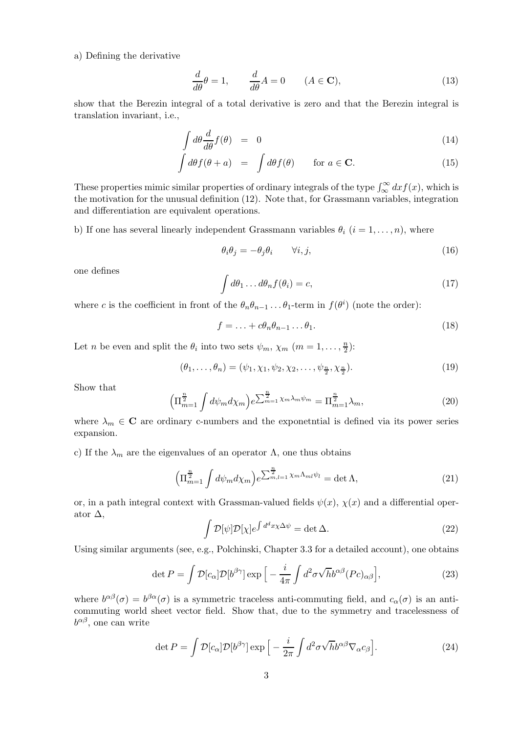a) Defining the derivative

$$
\frac{d}{d\theta}\theta = 1, \qquad \frac{d}{d\theta}A = 0 \qquad (A \in \mathbf{C}), \tag{13}
$$

show that the Berezin integral of a total derivative is zero and that the Berezin integral is translation invariant, i.e.,

$$
\int d\theta \frac{d}{d\theta} f(\theta) = 0 \tag{14}
$$

$$
\int d\theta f(\theta + a) = \int d\theta f(\theta) \quad \text{for } a \in \mathbf{C}.
$$
 (15)

These properties mimic similar properties of ordinary integrals of the type  $\int_{\infty}^{\infty} dx f(x)$ , which is the motivation for the unusual definition (12). Note that, for Grassmann variables, integration and differentiation are equivalent operations.

b) If one has several linearly independent Grassmann variables  $\theta_i$   $(i = 1, \ldots, n)$ , where

$$
\theta_i \theta_j = -\theta_j \theta_i \qquad \forall i, j,
$$
\n<sup>(16)</sup>

one defines

$$
\int d\theta_1 \dots d\theta_n f(\theta_i) = c,\tag{17}
$$

where c is the coefficient in front of the  $\theta_n\theta_{n-1} \dots \theta_1$ -term in  $f(\theta^i)$  (note the order):

$$
f = \ldots + c\theta_n \theta_{n-1} \ldots \theta_1. \tag{18}
$$

Let *n* be even and split the  $\theta_i$  into two sets  $\psi_m$ ,  $\chi_m$   $(m = 1, \ldots, \frac{n}{2})$  $\frac{n}{2}$ ):

$$
(\theta_1, \dots, \theta_n) = (\psi_1, \chi_1, \psi_2, \chi_2, \dots, \psi_{\frac{n}{2}}, \chi_{\frac{n}{2}}). \tag{19}
$$

Show that

$$
\left(\Pi_{m=1}^{\frac{n}{2}}\int d\psi_m d\chi_m\right) e^{\sum_{m=1}^{\frac{n}{2}}\chi_m\lambda_m\psi_m} = \Pi_{m=1}^{\frac{n}{2}}\lambda_m,\tag{20}
$$

where  $\lambda_m \in \mathbb{C}$  are ordinary c-numbers and the exponetntial is defined via its power series expansion.

c) If the  $\lambda_m$  are the eigenvalues of an operator  $\Lambda$ , one thus obtains

$$
\left(\Pi_{m=1}^{\frac{n}{2}} \int d\psi_m d\chi_m\right) e^{\sum_{m,l=1}^{\frac{n}{2}} \chi_m \Lambda_{ml} \psi_l} = \det \Lambda,\tag{21}
$$

or, in a path integral context with Grassman-valued fields  $\psi(x)$ ,  $\chi(x)$  and a differential operator  $\Delta$ ,

$$
\int \mathcal{D}[\psi]\mathcal{D}[\chi]e^{\int d^d x \chi \Delta \psi} = \det \Delta.
$$
 (22)

Using similar arguments (see, e.g., Polchinski, Chapter 3.3 for a detailed account), one obtains

$$
\det P = \int \mathcal{D}[c_{\alpha}] \mathcal{D}[b^{\beta \gamma}] \exp \left[ -\frac{i}{4\pi} \int d^2 \sigma \sqrt{h} b^{\alpha \beta} (P c)_{\alpha \beta} \right],\tag{23}
$$

where  $b^{\alpha\beta}(\sigma) = b^{\beta\alpha}(\sigma)$  is a symmetric traceless anti-commuting field, and  $c_{\alpha}(\sigma)$  is an anticommuting world sheet vector field. Show that, due to the symmetry and tracelessness of  $b^{\alpha\beta}$ , one can write

$$
\det P = \int \mathcal{D}[c_{\alpha}] \mathcal{D}[b^{\beta \gamma}] \exp \Big[ -\frac{i}{2\pi} \int d^2 \sigma \sqrt{h} b^{\alpha \beta} \nabla_{\alpha} c_{\beta} \Big]. \tag{24}
$$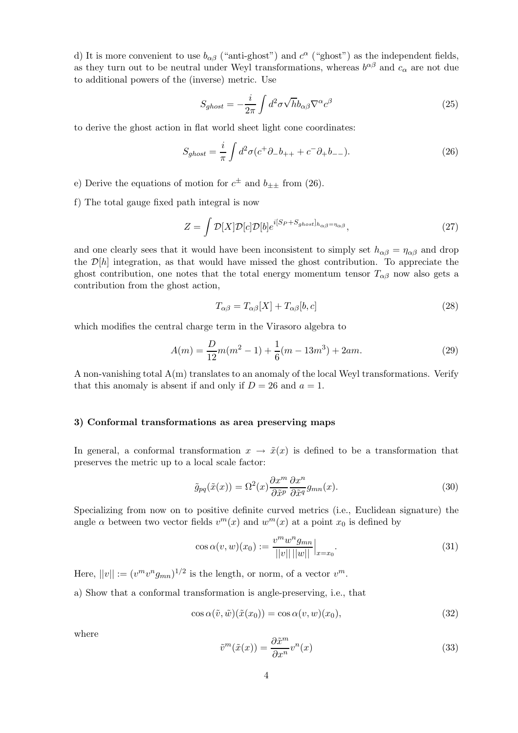d) It is more convenient to use  $b_{\alpha\beta}$  ("anti-ghost") and  $c^{\alpha}$  ("ghost") as the independent fields, as they turn out to be neutral under Weyl transformations, whereas  $b^{\alpha\beta}$  and  $c_{\alpha}$  are not due to additional powers of the (inverse) metric. Use

$$
S_{ghost} = -\frac{i}{2\pi} \int d^2\sigma \sqrt{h} b_{\alpha\beta} \nabla^\alpha c^\beta \tag{25}
$$

to derive the ghost action in flat world sheet light cone coordinates:

$$
S_{ghost} = \frac{i}{\pi} \int d^2 \sigma (c^+ \partial_- b_{++} + c^- \partial_+ b_{--}). \tag{26}
$$

e) Derive the equations of motion for  $c^{\pm}$  and  $b_{\pm\pm}$  from (26).

f) The total gauge fixed path integral is now

$$
Z = \int \mathcal{D}[X] \mathcal{D}[c] \mathcal{D}[b] e^{i[S_P + S_{ghost}]_{h_{\alpha\beta} = \eta_{\alpha\beta}}}, \qquad (27)
$$

and one clearly sees that it would have been inconsistent to simply set  $h_{\alpha\beta} = \eta_{\alpha\beta}$  and drop the  $\mathcal{D}[h]$  integration, as that would have missed the ghost contribution. To appreciate the ghost contribution, one notes that the total energy momentum tensor  $T_{\alpha\beta}$  now also gets a contribution from the ghost action,

$$
T_{\alpha\beta} = T_{\alpha\beta}[X] + T_{\alpha\beta}[b, c] \tag{28}
$$

which modifies the central charge term in the Virasoro algebra to

$$
A(m) = \frac{D}{12}m(m^2 - 1) + \frac{1}{6}(m - 13m^3) + 2am.
$$
 (29)

A non-vanishing total  $A(m)$  translates to an anomaly of the local Weyl transformations. Verify that this anomaly is absent if and only if  $D = 26$  and  $a = 1$ .

#### 3) Conformal transformations as area preserving maps

In general, a conformal transformation  $x \to \tilde{x}(x)$  is defined to be a transformation that preserves the metric up to a local scale factor:

$$
\tilde{g}_{pq}(\tilde{x}(x)) = \Omega^2(x) \frac{\partial x^m}{\partial \tilde{x}^p} \frac{\partial x^n}{\partial \tilde{x}^q} g_{mn}(x).
$$
\n(30)

Specializing from now on to positive definite curved metrics (i.e., Euclidean signature) the angle  $\alpha$  between two vector fields  $v^m(x)$  and  $w^m(x)$  at a point  $x_0$  is defined by

$$
\cos \alpha(v, w)(x_0) := \frac{v^m w^n g_{mn}}{||v|| \, ||w||} \Big|_{x=x_0}.
$$
\n(31)

Here,  $||v|| := (v^m v^n g_{mn})^{1/2}$  is the length, or norm, of a vector  $v^m$ .

a) Show that a conformal transformation is angle-preserving, i.e., that

$$
\cos \alpha(\tilde{v}, \tilde{w})(\tilde{x}(x_0)) = \cos \alpha(v, w)(x_0), \tag{32}
$$

where

$$
\tilde{v}^m(\tilde{x}(x)) = \frac{\partial \tilde{x}^m}{\partial x^n} v^n(x)
$$
\n(33)